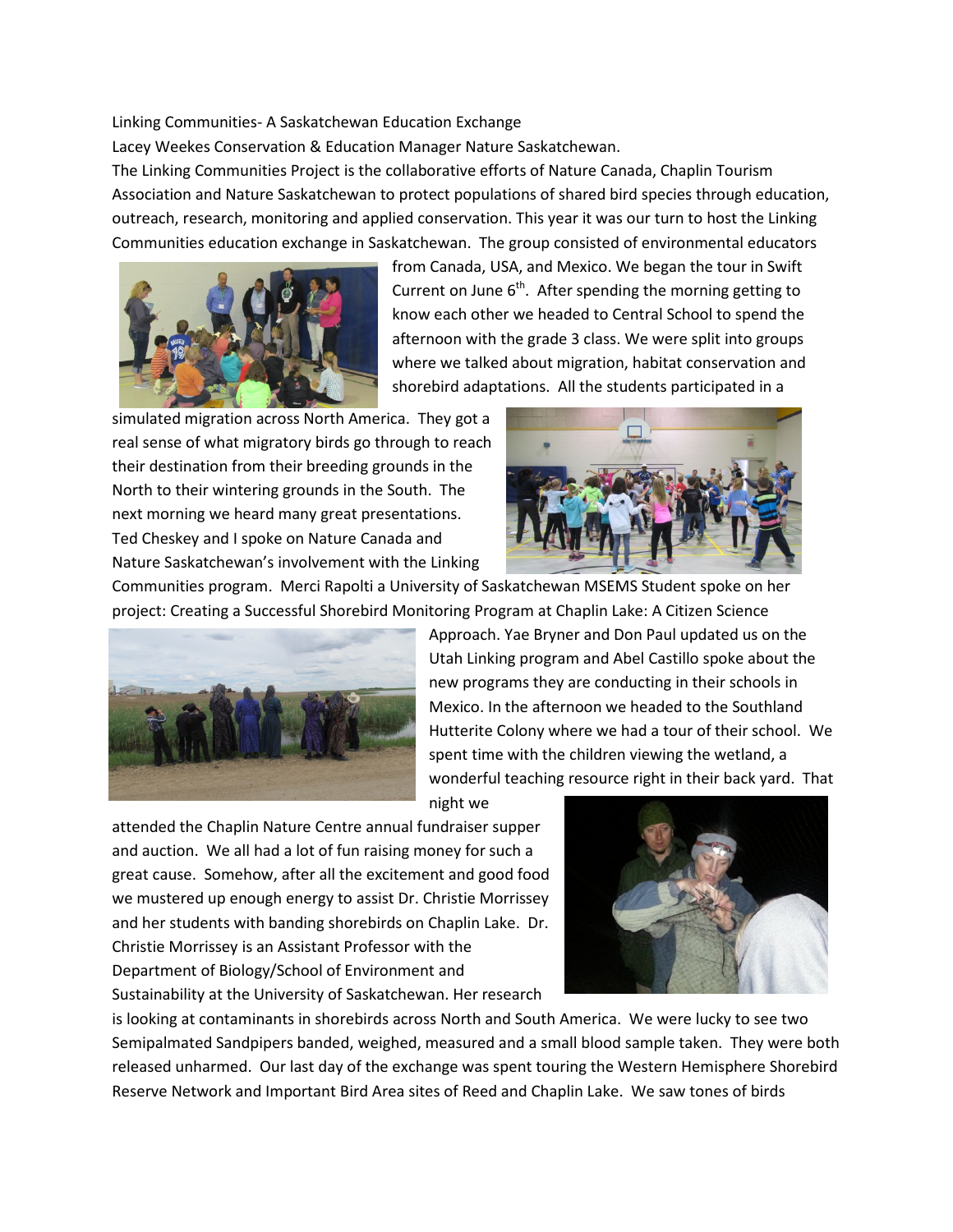Linking Communities- A Saskatchewan Education Exchange

Lacey Weekes Conservation & Education Manager Nature Saskatchewan.

The Linking Communities Project is the collaborative efforts of Nature Canada, Chaplin Tourism Association and Nature Saskatchewan to protect populations of shared bird species through education, outreach, research, monitoring and applied conservation. This year it was our turn to host the Linking Communities education exchange in Saskatchewan. The group consisted of environmental educators



from Canada, USA, and Mexico. We began the tour in Swift Current on June  $6<sup>th</sup>$ . After spending the morning getting to know each other we headed to Central School to spend the afternoon with the grade 3 class. We were split into groups where we talked about migration, habitat conservation and shorebird adaptations. All the students participated in a

simulated migration across North America. They got a real sense of what migratory birds go through to reach their destination from their breeding grounds in the North to their wintering grounds in the South. The next morning we heard many great presentations. Ted Cheskey and I spoke on Nature Canada and Nature Saskatchewan's involvement with the Linking



Communities program. Merci Rapolti a University of Saskatchewan MSEMS Student spoke on her project: Creating a Successful Shorebird Monitoring Program at Chaplin Lake: A Citizen Science



Approach. Yae Bryner and Don Paul updated us on the Utah Linking program and Abel Castillo spoke about the new programs they are conducting in their schools in Mexico. In the afternoon we headed to the Southland Hutterite Colony where we had a tour of their school. We spent time with the children viewing the wetland, a wonderful teaching resource right in their back yard. That

night we

attended the Chaplin Nature Centre annual fundraiser supper and auction. We all had a lot of fun raising money for such a great cause. Somehow, after all the excitement and good food we mustered up enough energy to assist Dr. Christie Morrissey and her students with banding shorebirds on Chaplin Lake. Dr. Christie Morrissey is an Assistant Professor with the Department of Biology/School of Environment and Sustainability at the University of Saskatchewan. Her research



is looking at contaminants in shorebirds across North and South America. We were lucky to see two Semipalmated Sandpipers banded, weighed, measured and a small blood sample taken. They were both released unharmed. Our last day of the exchange was spent touring the Western Hemisphere Shorebird Reserve Network and Important Bird Area sites of Reed and Chaplin Lake. We saw tones of birds